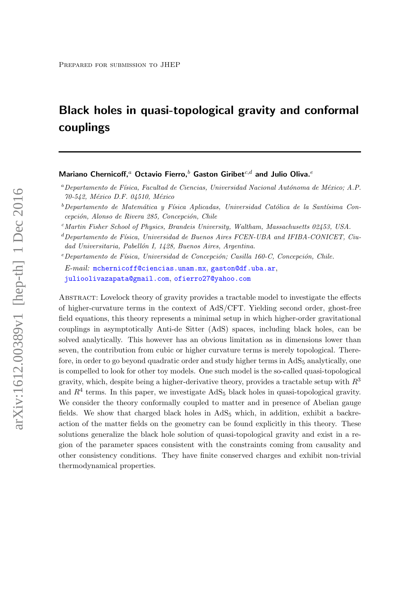# Black holes in quasi-topological gravity and conformal couplings

Mariano Chernicoff,<sup>a</sup> Octavio Fierro,<sup>b</sup> Gaston Giribet<sup>c,d</sup> and Julio Oliva.<sup>e</sup>

 $d$ Departamento de Física, Universidad de Buenos Aires FCEN-UBA and IFIBA-CONICET, Ciudad Universitaria, Pabellón I, 1428, Buenos Aires, Argentina.

 $e$ Departamento de Física, Universidad de Concepción; Casilla 160-C, Concepción, Chile.

E-mail: [mchernicoff@ciencias.unam.mx](mailto:mchernicoff@ciencias.unam.mx), [gaston@df.uba.ar](mailto:gaston@df.uba.ar), [julioolivazapata@gmail.com](mailto:julioolivazapata@gmail.com), [ofierro27@yahoo.com](mailto:ofierro27@yahoo.com)

Abstract: Lovelock theory of gravity provides a tractable model to investigate the effects of higher-curvature terms in the context of AdS/CFT. Yielding second order, ghost-free field equations, this theory represents a minimal setup in which higher-order gravitational couplings in asymptotically Anti-de Sitter (AdS) spaces, including black holes, can be solved analytically. This however has an obvious limitation as in dimensions lower than seven, the contribution from cubic or higher curvature terms is merely topological. Therefore, in order to go beyond quadratic order and study higher terms in  $AdS_5$  analytically, one is compelled to look for other toy models. One such model is the so-called quasi-topological gravity, which, despite being a higher-derivative theory, provides a tractable setup with  $R<sup>3</sup>$ and  $R<sup>4</sup>$  terms. In this paper, we investigate  $AdS<sub>5</sub>$  black holes in quasi-topological gravity. We consider the theory conformally coupled to matter and in presence of Abelian gauge fields. We show that charged black holes in  $AdS_5$  which, in addition, exhibit a backreaction of the matter fields on the geometry can be found explicitly in this theory. These solutions generalize the black hole solution of quasi-topological gravity and exist in a region of the parameter spaces consistent with the constraints coming from causality and other consistency conditions. They have finite conserved charges and exhibit non-trivial thermodynamical properties.

 ${}^a$ Departamento de Física, Facultad de Ciencias, Universidad Nacional Autónoma de México; A.P. 70-542, México D.F. 04510, México

 $b$ Departamento de Matemática y Física Aplicadas, Universidad Católica de la Santísima Concepción, Alonso de Rivera 285, Concepción, Chile

 $c<sub>Matrix</sub>$  Fisher School of Physics, Brandeis University, Waltham, Massachusetts 02453, USA.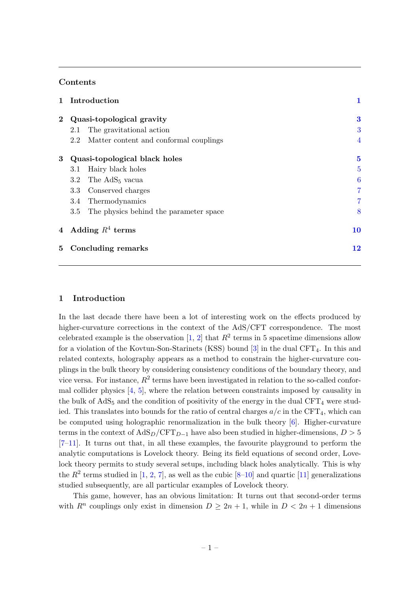# Contents

| $\mathbf{1}$            | Introduction                  |                                        | 1              |
|-------------------------|-------------------------------|----------------------------------------|----------------|
| $\bf{2}$                | Quasi-topological gravity     |                                        | $\bf{3}$       |
|                         | 2.1                           | The gravitational action               | 3              |
|                         | 2.2                           | Matter content and conformal couplings | $\overline{4}$ |
| 3                       | Quasi-topological black holes |                                        | $\mathbf{5}$   |
|                         | $3.1\,$                       | Hairy black holes                      | $\overline{5}$ |
|                         | $3.2\,$                       | The AdS <sub>5</sub> vacua             | 6              |
|                         | $3.3\,$                       | Conserved charges                      | $\overline{7}$ |
|                         | 3.4                           | Thermodynamics                         | $\overline{7}$ |
|                         | $3.5\,$                       | The physics behind the parameter space | 8              |
| $\overline{4}$          | Adding $R^4$ terms            |                                        | 10             |
| Concluding remarks<br>5 |                               | 12                                     |                |

# <span id="page-1-0"></span>1 Introduction

In the last decade there have been a lot of interesting work on the effects produced by higher-curvature corrections in the context of the AdS/CFT correspondence. The most celebrated example is the observation  $[1, 2]$  $[1, 2]$  $[1, 2]$  that  $R^2$  terms in 5 spacetime dimensions allow for a violation of the Kovtun-Son-Starinets (KSS) bound  $[3]$  in the dual CFT<sub>4</sub>. In this and related contexts, holography appears as a method to constrain the higher-curvature couplings in the bulk theory by considering consistency conditions of the boundary theory, and vice versa. For instance,  $R^2$  terms have been investigated in relation to the so-called conformal collider physics [\[4,](#page-13-2) [5\]](#page-13-3), where the relation between constraints imposed by causality in the bulk of  $AdS_5$  and the condition of positivity of the energy in the dual CFT<sub>4</sub> were studied. This translates into bounds for the ratio of central charges  $a/c$  in the CFT<sub>4</sub>, which can be computed using holographic renormalization in the bulk theory [\[6\]](#page-13-4). Higher-curvature terms in the context of  $AdS_D/\text{CFT}_{D-1}$  have also been studied in higher-dimensions,  $D > 5$  $[7-11]$  $[7-11]$ . It turns out that, in all these examples, the favourite playground to perform the analytic computations is Lovelock theory. Being its field equations of second order, Lovelock theory permits to study several setups, including black holes analytically. This is why the  $R^2$  terms studied in [\[1,](#page-12-1) [2,](#page-13-0) [7\]](#page-13-5), as well as the cubic  $[8-10]$  $[8-10]$  and quartic [\[11\]](#page-13-6) generalizations studied subsequently, are all particular examples of Lovelock theory.

This game, however, has an obvious limitation: It turns out that second-order terms with  $R^n$  couplings only exist in dimension  $D \geq 2n + 1$ , while in  $D < 2n + 1$  dimensions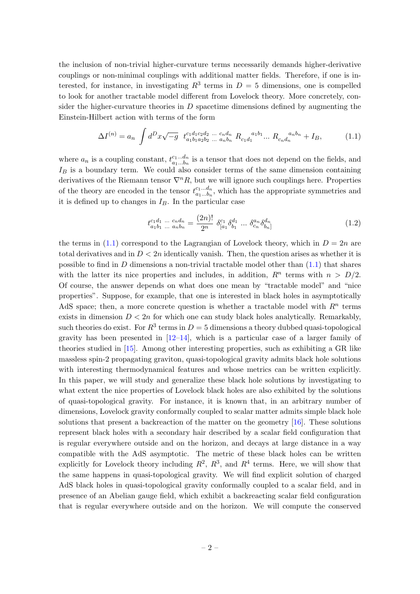the inclusion of non-trivial higher-curvature terms necessarily demands higher-derivative couplings or non-minimal couplings with additional matter fields. Therefore, if one is interested, for instance, in investigating  $R^3$  terms in  $D=5$  dimensions, one is compelled to look for another tractable model different from Lovelock theory. More concretely, consider the higher-curvature theories in  $D$  spacetime dimensions defined by augmenting the Einstein-Hilbert action with terms of the form

<span id="page-2-0"></span>
$$
\Delta I^{(n)} = a_n \int d^D x \sqrt{-g} \ t_{a_1 b_1 a_2 b_2 \ \dots \ a_n b_n}^{c_1 d_1 c_2 d_2 \ \dots \ c_n d_n} R_{c_1 d_1}^{a_1 b_1} \dots R_{c_n d_n}^{a_n b_n} + I_B, \tag{1.1}
$$

where  $a_n$  is a coupling constant,  $t_{a_1...b_n}^{c_1...d_n}$  $a_1...a_n$  is a tensor that does not depend on the fields, and  $I_B$  is a boundary term. We could also consider terms of the same dimension containing derivatives of the Riemann tensor  $\nabla^n R$ , but we will ignore such couplings here. Properties of the theory are encoded in the tensor  $t_{a_1 \ldots b_n}^{c_1 \ldots d_n}$  $a_1...a_n$ , which has the appropriate symmetries and it is defined up to changes in  $I_B$ . In the particular case

$$
t_{a_1b_1 \ldots a_nb_n}^{c_1d_1 \ldots c_nd_n} = \frac{(2n)!}{2^n} \delta_{[a_1}^{c_1} \delta_{b_1}^{d_1} \ldots \delta_{c_n}^{a_n} \delta_{b_n]}^{d_n}
$$
 (1.2)

the terms in  $(1.1)$  correspond to the Lagrangian of Lovelock theory, which in  $D = 2n$  are total derivatives and in  $D < 2n$  identically vanish. Then, the question arises as whether it is possible to find in D dimensions a non-trivial tractable model other than  $(1.1)$  that shares with the latter its nice properties and includes, in addition,  $R<sup>n</sup>$  terms with  $n > D/2$ . Of course, the answer depends on what does one mean by "tractable model" and "nice properties". Suppose, for example, that one is interested in black holes in asymptotically AdS space; then, a more concrete question is whether a tractable model with  $R<sup>n</sup>$  terms exists in dimension  $D < 2n$  for which one can study black holes analytically. Remarkably, such theories do exist. For  $R^3$  terms in  $D=5$  dimensions a theory dubbed quasi-topological gravity has been presented in  $[12-14]$  $[12-14]$ , which is a particular case of a larger family of theories studied in [\[15\]](#page-13-11). Among other interesting properties, such as exhibiting a GR like massless spin-2 propagating graviton, quasi-topological gravity admits black hole solutions with interesting thermodynamical features and whose metrics can be written explicitly. In this paper, we will study and generalize these black hole solutions by investigating to what extent the nice properties of Lovelock black holes are also exhibited by the solutions of quasi-topological gravity. For instance, it is known that, in an arbitrary number of dimensions, Lovelock gravity conformally coupled to scalar matter admits simple black hole solutions that present a backreaction of the matter on the geometry [\[16\]](#page-13-12). These solutions represent black holes with a secondary hair described by a scalar field configuration that is regular everywhere outside and on the horizon, and decays at large distance in a way compatible with the AdS asymptotic. The metric of these black holes can be written explicitly for Lovelock theory including  $R^2$ ,  $R^3$ , and  $R^4$  terms. Here, we will show that the same happens in quasi-topological gravity. We will find explicit solution of charged AdS black holes in quasi-topological gravity conformally coupled to a scalar field, and in presence of an Abelian gauge field, which exhibit a backreacting scalar field configuration that is regular everywhere outside and on the horizon. We will compute the conserved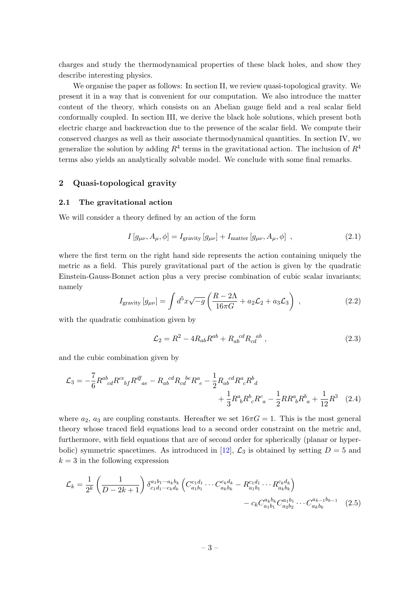charges and study the thermodynamical properties of these black holes, and show they describe interesting physics.

We organise the paper as follows: In section II, we review quasi-topological gravity. We present it in a way that is convenient for our computation. We also introduce the matter content of the theory, which consists on an Abelian gauge field and a real scalar field conformally coupled. In section III, we derive the black hole solutions, which present both electric charge and backreaction due to the presence of the scalar field. We compute their conserved charges as well as their associate thermodynamical quantities. In section IV, we generalize the solution by adding  $R^4$  terms in the gravitational action. The inclusion of  $R^4$ terms also yields an analytically solvable model. We conclude with some final remarks.

# <span id="page-3-0"></span>2 Quasi-topological gravity

#### <span id="page-3-1"></span>2.1 The gravitational action

We will consider a theory defined by an action of the form

<span id="page-3-4"></span>
$$
I[g_{\mu\nu}, A_{\mu}, \phi] = I_{\text{gravity}}[g_{\mu\nu}] + I_{\text{matter}}[g_{\mu\nu}, A_{\mu}, \phi], \qquad (2.1)
$$

where the first term on the right hand side represents the action containing uniquely the metric as a field. This purely gravitational part of the action is given by the quadratic Einstein-Gauss-Bonnet action plus a very precise combination of cubic scalar invariants; namely

<span id="page-3-5"></span>
$$
I_{\text{gravity}}\left[g_{\mu\nu}\right] = \int d^5x \sqrt{-g} \left(\frac{R - 2\Lambda}{16\pi G} + a_2 \mathcal{L}_2 + a_3 \mathcal{L}_3\right) ,\qquad (2.2)
$$

with the quadratic combination given by

<span id="page-3-3"></span><span id="page-3-2"></span>
$$
\mathcal{L}_2 = R^2 - 4R_{ab}R^{ab} + R_{ab}{}^{cd}R_{cd}{}^{ab} \,, \tag{2.3}
$$

and the cubic combination given by

$$
\mathcal{L}_{3} = -\frac{7}{6} R^{ab}_{\ \ cd} R^{ce}_{\ \ b} R^{df}_{\ ae} - R_{ab}{}^{cd} R_{cd}{}^{be} R^{a}_{\ e} - \frac{1}{2} R_{ab}{}^{cd} R^{a}_{\ c} R^{b}_{\ d} + \frac{1}{3} R^{a}_{\ b} R^{b}_{\ c} R^{c}_{\ a} - \frac{1}{2} R R^{a}_{\ b} R^{b}_{\ a} + \frac{1}{12} R^{3} \quad (2.4)
$$

where  $a_2$ ,  $a_3$  are coupling constants. Hereafter we set  $16\pi G = 1$ . This is the most general theory whose traced field equations lead to a second order constraint on the metric and, furthermore, with field equations that are of second order for spherically (planar or hyper-bolic) symmetric spacetimes. As introduced in [\[12\]](#page-13-9),  $\mathcal{L}_3$  is obtained by setting  $D = 5$  and  $k = 3$  in the following expression

$$
\mathcal{L}_{k} = \frac{1}{2^{k}} \left( \frac{1}{D - 2k + 1} \right) \delta_{c_{1}d_{1}\cdots c_{k}d_{k}}^{a_{1}b_{1}\cdots a_{k}b_{k}} \left( C_{a_{1}b_{1}}^{c_{1}d_{1}} \cdots C_{a_{k}b_{k}}^{c_{k}d_{k}} - R_{a_{1}b_{1}}^{c_{1}d_{1}} \cdots R_{a_{k}b_{k}}^{c_{k}d_{k}} \right) - c_{k} C_{a_{1}b_{1}}^{a_{k}b_{k}} C_{a_{2}b_{2}}^{a_{1}b_{1}} \cdots C_{a_{k}b_{k}}^{a_{k-1}b_{k-1}} \quad (2.5)
$$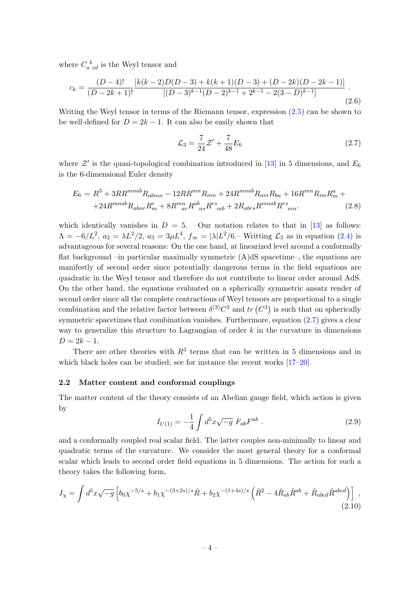where  $C_a{}^b_{cd}$  is the Weyl tensor and

$$
c_k = \frac{(D-4)!}{(D-2k+1)!} \frac{\left[k(k-2)D(D-3) + k(k+1)(D-3) + (D-2k)(D-2k-1)\right]}{\left[(D-3)^{k-1}(D-2)^{k-1} + 2^{k-1} - 2(3-D)^{k-1}\right]}.
$$
\n(2.6)

Writing the Weyl tensor in terms of the Riemann tensor, expression [\(2.5\)](#page-3-2) can be shown to be well-defined for  $D = 2k - 1$ . It can also be easily shown that

<span id="page-4-1"></span>
$$
\mathcal{L}_3 = \frac{7}{24}\mathcal{Z}' + \frac{7}{48}E_6\tag{2.7}
$$

where  $\mathcal{Z}'$  is the quasi-topological combination introduced in [\[13\]](#page-13-13) in 5 dimensions, and  $E_6$ is the 6-dimensional Euler density

$$
E_6 = R^3 + 3RR^{mnab}R_{abmn} - 12RR^{mn}R_{mn} + 24R^{mnab}R_{am}R_{bn} + 16R^{mn}R_{na}R_m^a +
$$
  
+24R^{mnab}R\_{abnr}R\_m^r + 8R\_{ar}^mR\_{ns}^{ab}R\_{rs}^{rs} + 2R\_{abrs}R\_{mn}^{mnab}R\_{rs}^{rs} (2.8)

which identically vanishes in  $D = 5$ . –Our notation relates to that in [\[13\]](#page-13-13) as follows:  $\Lambda = -6/L^2$ ,  $a_2 = \lambda L^2/2$ ,  $a_3 = 3\mu L^4$ ,  $f_{\infty} = |\lambda|L^2/6$ . Writting  $\mathcal{L}_3$  as in equation [\(2.4\)](#page-3-3) is advantageous for several reasons: On the one hand, at linearized level around a conformally flat background –in particular maximally symmetric  $(A)dS$  spacetime–, the equations are manifestly of second order since potentially dangerous terms in the field equations are quadratic in the Weyl tensor and therefore do not contribute to linear order around AdS. On the other hand, the equations evaluated on a spherically symmetric ansatz render of second order since all the complete contractions of Weyl tensors are proportional to a single combination and the relative factor between  $\delta^{(3)}C^3$  and  $tr(C^3)$  is such that on spherically symmetric spacetimes that combination vanishes. Furthermore, equation  $(2.7)$  gives a clear way to generalize this structure to Lagrangian of order  $k$  in the curvature in dimensions  $D = 2k - 1.$ 

There are other theories with  $R^3$  terms that can be written in 5 dimensions and in which black holes can be studied; see for instance the recent works  $[17-20]$  $[17-20]$ .

# <span id="page-4-0"></span>2.2 Matter content and conformal couplings

The matter content of the theory consists of an Abelian gauge field, which action is given by

$$
I_{U(1)} = -\frac{1}{4} \int d^5 x \sqrt{-g} \ F_{ab} F^{ab} \ . \tag{2.9}
$$

and a conformally coupled real scalar field. The latter couples non-minimally to linear and quadratic terms of the curvature. We consider the most general theory for a conformal scalar which leads to second order field equations in 5 dimensions. The action for such a theory takes the following form,

$$
I_{\chi} = \int d^5 x \sqrt{-g} \left[ b_0 \chi^{-5/s} + b_1 \chi^{-(3+2s)/s} \hat{R} + b_2 \chi^{-(1+4s)/s} \left( \hat{R}^2 - 4 \hat{R}_{ab} \hat{R}^{ab} + \hat{R}_{abcd} \hat{R}^{abcd} \right) \right],
$$
\n(2.10)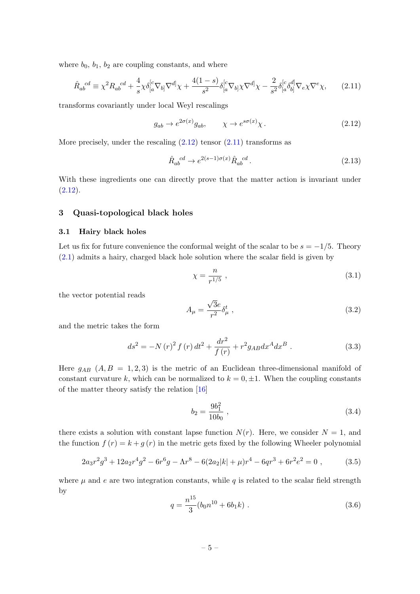where  $b_0$ ,  $b_1$ ,  $b_2$  are coupling constants, and where

<span id="page-5-3"></span>
$$
\hat{R}_{ab}^{cd} \equiv \chi^2 R_{ab}^{cd} + \frac{4}{s} \chi \delta_{[a}^{[c} \nabla_{b]} \nabla^{d]} \chi + \frac{4(1-s)}{s^2} \delta_{[a}^{[c} \nabla_{b]} \chi \nabla^{d]} \chi - \frac{2}{s^2} \delta_{[a}^{[c} \delta_{b]}^{d]} \nabla_{e} \chi \nabla^{e} \chi,\tag{2.11}
$$

transforms covariantly under local Weyl rescalings

<span id="page-5-2"></span>
$$
g_{ab} \to e^{2\sigma(x)} g_{ab}, \qquad \chi \to e^{s\sigma(x)} \chi. \tag{2.12}
$$

More precisely, under the rescaling  $(2.12)$  tensor  $(2.11)$  transforms as

$$
\hat{R}_{ab}^{cd} \rightarrow e^{2(s-1)\sigma(x)} \hat{R}_{ab}^{cd} \,. \tag{2.13}
$$

With these ingredients one can directly prove that the matter action is invariant under  $(2.12).$  $(2.12).$ 

# <span id="page-5-0"></span>3 Quasi-topological black holes

# <span id="page-5-1"></span>3.1 Hairy black holes

Let us fix for future convenience the conformal weight of the scalar to be  $s = -1/5$ . Theory [\(2.1\)](#page-3-4) admits a hairy, charged black hole solution where the scalar field is given by

<span id="page-5-6"></span>
$$
\chi = \frac{n}{r^{1/5}} \,,\tag{3.1}
$$

the vector potential reads

<span id="page-5-7"></span>
$$
A_{\mu} = \frac{\sqrt{3}e}{r^2} \delta_{\mu}^t \tag{3.2}
$$

and the metric takes the form

<span id="page-5-4"></span>
$$
ds^{2} = -N(r)^{2} f(r) dt^{2} + \frac{dr^{2}}{f(r)} + r^{2} g_{AB} dx^{A} dx^{B} .
$$
 (3.3)

Here  $g_{AB}$   $(A, B = 1, 2, 3)$  is the metric of an Euclidean three-dimensional manifold of constant curvature k, which can be normalized to  $k = 0, \pm 1$ . When the coupling constants of the matter theory satisfy the relation [\[16\]](#page-13-12)

$$
b_2 = \frac{9b_1^2}{10b_0} \t{3.4}
$$

there exists a solution with constant lapse function  $N(r)$ . Here, we consider  $N = 1$ , and the function  $f(r) = k + g(r)$  in the metric gets fixed by the following Wheeler polynomial

<span id="page-5-5"></span>
$$
2a_3r^2g^3 + 12a_2r^4g^2 - 6r^6g - \Lambda r^8 - 6(2a_2|k| + \mu)r^4 - 6qr^3 + 6r^2e^2 = 0,
$$
 (3.5)

where  $\mu$  and  $e$  are two integration constants, while  $q$  is related to the scalar field strength by

$$
q = \frac{n^{15}}{3}(b_0 n^{10} + 6b_1 k) \tag{3.6}
$$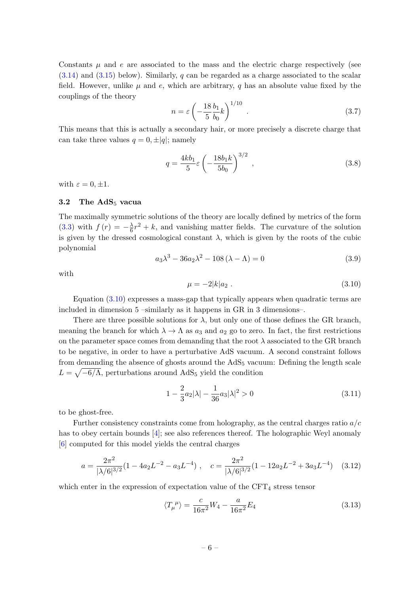Constants  $\mu$  and e are associated to the mass and the electric charge respectively (see  $(3.14)$  and  $(3.15)$  below). Similarly, q can be regarded as a charge associated to the scalar field. However, unlike  $\mu$  and e, which are arbitrary, q has an absolute value fixed by the couplings of the theory

$$
n = \varepsilon \left( -\frac{18}{5} \frac{b_1}{b_0} k \right)^{1/10} . \tag{3.7}
$$

This means that this is actually a secondary hair, or more precisely a discrete charge that can take three values  $q = 0, \pm |q|$ ; namely

$$
q = \frac{4kb_1}{5}\varepsilon \left(-\frac{18b_1k}{5b_0}\right)^{3/2},
$$
\n(3.8)

with  $\varepsilon = 0, \pm 1$ .

#### <span id="page-6-0"></span>3.2 The  $AdS_5$  vacua

The maximally symmetric solutions of the theory are locally defined by metrics of the form  $(3.3)$  with  $f(r) = -\frac{\lambda}{6}$  $\frac{\lambda}{6}r^2 + k$ , and vanishing matter fields. The curvature of the solution is given by the dressed cosmological constant  $\lambda$ , which is given by the roots of the cubic polynomial

$$
a_3 \lambda^3 - 36 a_2 \lambda^2 - 108 (\lambda - \Lambda) = 0
$$
 (3.9)

with

<span id="page-6-1"></span>
$$
\mu = -2|k|a_2. \tag{3.10}
$$

Equation [\(3.10\)](#page-6-1) expresses a mass-gap that typically appears when quadratic terms are included in dimension 5 –similarly as it happens in GR in 3 dimensions–.

There are three possible solutions for  $\lambda$ , but only one of those defines the GR branch, meaning the branch for which  $\lambda \to \Lambda$  as  $a_3$  and  $a_2$  go to zero. In fact, the first restrictions on the parameter space comes from demanding that the root  $\lambda$  associated to the GR branch to be negative, in order to have a perturbative AdS vacuum. A second constraint follows from demanding the absence of ghosts around the  $AdS_5$  vacuum: Defining the length scale  $L = \sqrt{-6/\Lambda}$ , perturbations around AdS<sub>5</sub> yield the condition

<span id="page-6-2"></span>
$$
1 - \frac{2}{3}a_2|\lambda| - \frac{1}{36}a_3|\lambda|^2 > 0\tag{3.11}
$$

to be ghost-free.

Further consistency constraints come from holography, as the central charges ratio  $a/c$ has to obey certain bounds [\[4\]](#page-13-2); see also references thereof. The holographic Weyl anomaly [\[6\]](#page-13-4) computed for this model yields the central charges

$$
a = \frac{2\pi^2}{|\lambda/6|^{3/2}} (1 - 4a_2 L^{-2} - a_3 L^{-4}), \quad c = \frac{2\pi^2}{|\lambda/6|^{3/2}} (1 - 12a_2 L^{-2} + 3a_3 L^{-4}) \quad (3.12)
$$

which enter in the expression of expectation value of the  $CFT<sub>4</sub>$  stress tensor

$$
\langle T_{\mu}{}^{\mu} \rangle = \frac{c}{16\pi^2} W_4 - \frac{a}{16\pi^2} E_4 \tag{3.13}
$$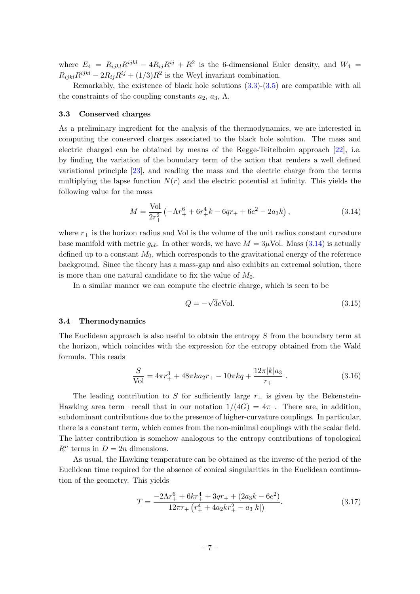where  $E_4 = R_{ijkl}R^{ijkl} - 4R_{ij}R^{ij} + R^2$  is the 6-dimensional Euler density, and  $W_4 =$  $R_{ijkl}R^{ijkl} - 2R_{ij}R^{ij} + (1/3)R^2$  is the Weyl invariant combination.

Remarkably, the existence of black hole solutions [\(3.3\)](#page-5-4)-[\(3.5\)](#page-5-5) are compatible with all the constraints of the coupling constants  $a_2, a_3, \Lambda$ .

#### <span id="page-7-0"></span>3.3 Conserved charges

As a preliminary ingredient for the analysis of the thermodynamics, we are interested in computing the conserved charges associated to the black hole solution. The mass and electric charged can be obtained by means of the Regge-Teitelboim approach [\[22\]](#page-14-0), i.e. by finding the variation of the boundary term of the action that renders a well defined variational principle [\[23\]](#page-14-1), and reading the mass and the electric charge from the terms multiplying the lapse function  $N(r)$  and the electric potential at infinity. This yields the following value for the mass

<span id="page-7-2"></span>
$$
M = \frac{\text{Vol}}{2r_+^2} \left( -\Lambda r_+^6 + 6r_+^4 k - 6qr_+ + 6e^2 - 2a_3 k \right),\tag{3.14}
$$

where  $r_{+}$  is the horizon radius and Vol is the volume of the unit radius constant curvature base manifold with metric  $g_{ab}$ . In other words, we have  $M = 3\mu$ Vol. Mass [\(3.14\)](#page-7-2) is actually defined up to a constant  $M_0$ , which corresponds to the gravitational energy of the reference background. Since the theory has a mass-gap and also exhibits an extremal solution, there is more than one natural candidate to fix the value of  $M_0$ .

In a similar manner we can compute the electric charge, which is seen to be

<span id="page-7-3"></span>
$$
Q = -\sqrt{3}e \text{Vol.}
$$
\n(3.15)

## <span id="page-7-1"></span>3.4 Thermodynamics

The Euclidean approach is also useful to obtain the entropy S from the boundary term at the horizon, which coincides with the expression for the entropy obtained from the Wald formula. This reads

<span id="page-7-5"></span>
$$
\frac{S}{\text{Vol}} = 4\pi r_+^3 + 48\pi k a_2 r_+ - 10\pi k q + \frac{12\pi |k| a_3}{r_+} \,. \tag{3.16}
$$

The leading contribution to S for sufficiently large  $r_{+}$  is given by the Bekenstein-Hawking area term –recall that in our notation  $1/(4G) = 4\pi$ –. There are, in addition, subdominant contributions due to the presence of higher-curvature couplings. In particular, there is a constant term, which comes from the non-minimal couplings with the scalar field. The latter contribution is somehow analogous to the entropy contributions of topological  $R^n$  terms in  $D = 2n$  dimensions.

As usual, the Hawking temperature can be obtained as the inverse of the period of the Euclidean time required for the absence of conical singularities in the Euclidean continuation of the geometry. This yields

<span id="page-7-4"></span>
$$
T = \frac{-2\Lambda r_+^6 + 6kr_+^4 + 3qr_+ + (2a_3k - 6e^2)}{12\pi r_+ (r_+^4 + 4a_2kr_+^2 - a_3|k|)}.\tag{3.17}
$$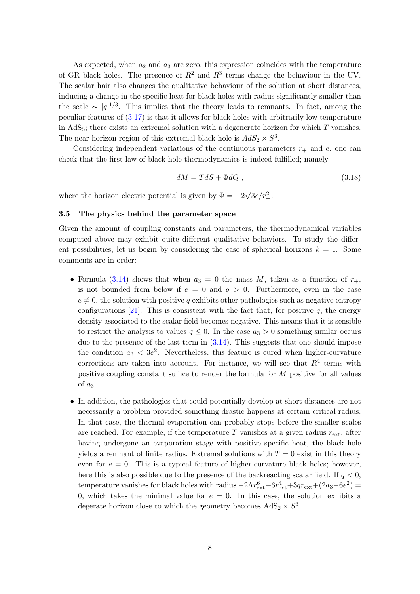As expected, when  $a_2$  and  $a_3$  are zero, this expression coincides with the temperature of GR black holes. The presence of  $R^2$  and  $R^3$  terms change the behaviour in the UV. The scalar hair also changes the qualitative behaviour of the solution at short distances, inducing a change in the specific heat for black holes with radius significantly smaller than the scale ~  $|q|^{1/3}$ . This implies that the theory leads to remnants. In fact, among the peculiar features of [\(3.17\)](#page-7-4) is that it allows for black holes with arbitrarily low temperature in  $AdS_5$ ; there exists an extremal solution with a degenerate horizon for which T vanishes. The near-horizon region of this extremal black hole is  $AdS_2 \times S^3$ .

Considering independent variations of the continuous parameters  $r_{+}$  and  $e$ , one can check that the first law of black hole thermodynamics is indeed fulfilled; namely

<span id="page-8-1"></span>
$$
dM = TdS + \Phi dQ \t{, \t(3.18)}
$$

where the horizon electric potential is given by  $\Phi = -2$  $\sqrt{3}e/r_+^2$ .

# <span id="page-8-0"></span>3.5 The physics behind the parameter space

Given the amount of coupling constants and parameters, the thermodynamical variables computed above may exhibit quite different qualitative behaviors. To study the different possibilities, let us begin by considering the case of spherical horizons  $k = 1$ . Some comments are in order:

- Formula [\(3.14\)](#page-7-2) shows that when  $a_3 = 0$  the mass M, taken as a function of  $r_{+}$ , is not bounded from below if  $e = 0$  and  $q > 0$ . Furthermore, even in the case  $e \neq 0$ , the solution with positive q exhibits other pathologies such as negative entropy configurations [\[21\]](#page-14-2). This is consistent with the fact that, for positive q, the energy density associated to the scalar field becomes negative. This means that it is sensible to restrict the analysis to values  $q \leq 0$ . In the case  $a_3 > 0$  something similar occurs due to the presence of the last term in  $(3.14)$ . This suggests that one should impose the condition  $a_3 < 3e^2$ . Nevertheless, this feature is cured when higher-curvature corrections are taken into account. For instance, we will see that  $R<sup>4</sup>$  terms with positive coupling constant suffice to render the formula for M positive for all values of  $a_3$ .
- In addition, the pathologies that could potentially develop at short distances are not necessarily a problem provided something drastic happens at certain critical radius. In that case, the thermal evaporation can probably stops before the smaller scales are reached. For example, if the temperature T vanishes at a given radius  $r_{\text{ext}}$ , after having undergone an evaporation stage with positive specific heat, the black hole yields a remnant of finite radius. Extremal solutions with  $T = 0$  exist in this theory even for  $e = 0$ . This is a typical feature of higher-curvature black holes; however, here this is also possible due to the presence of the backreacting scalar field. If  $q < 0$ , temperature vanishes for black holes with radius  $-2\Lambda r_{\text{ext}}^6 + 6r_{\text{ext}}^4 + 3qr_{\text{ext}} + (2a_3 - 6e^2)$ 0, which takes the minimal value for  $e = 0$ . In this case, the solution exhibits a degerate horizon close to which the geometry becomes  $AdS_2 \times S^3$ .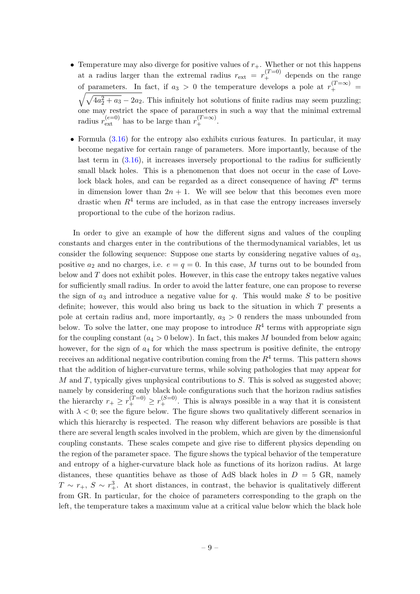- Temperature may also diverge for positive values of  $r_{+}$ . Whether or not this happens at a radius larger than the extremal radius  $r_{\text{ext}} = r_{+}^{(T=0)}$  depends on the range of parameters. In fact, if  $a_3 > 0$  the temperature develops a pole at  $r_+^{(T=\infty)}$  =  $\sqrt{\sqrt{4a_2^2 + a_3} - 2a_2}$ . This infinitely hot solutions of finite radius may seem puzzling; one may restrict the space of parameters in such a way that the minimal extremal radius  $r_{\text{ext}}^{(e=0)}$  has to be large than  $r_{+}^{(T=\infty)}$ .
- Formula  $(3.16)$  for the entropy also exhibits curious features. In particular, it may become negative for certain range of parameters. More importantly, because of the last term in  $(3.16)$ , it increases inversely proportional to the radius for sufficiently small black holes. This is a phenomenon that does not occur in the case of Lovelock black holes, and can be regarded as a direct consequence of having  $R<sup>n</sup>$  terms in dimension lower than  $2n + 1$ . We will see below that this becomes even more drastic when  $R<sup>4</sup>$  terms are included, as in that case the entropy increases inversely proportional to the cube of the horizon radius.

In order to give an example of how the different signs and values of the coupling constants and charges enter in the contributions of the thermodynamical variables, let us consider the following sequence: Suppose one starts by considering negative values of  $a_3$ , positive  $a_2$  and no charges, i.e.  $e = q = 0$ . In this case, M turns out to be bounded from below and  $T$  does not exhibit poles. However, in this case the entropy takes negative values for sufficiently small radius. In order to avoid the latter feature, one can propose to reverse the sign of  $a_3$  and introduce a negative value for q. This would make S to be positive definite; however, this would also bring us back to the situation in which  $T$  presents a pole at certain radius and, more importantly,  $a_3 > 0$  renders the mass unbounded from below. To solve the latter, one may propose to introduce  $R<sup>4</sup>$  terms with appropriate sign for the coupling constant  $(a_4 > 0$  below). In fact, this makes M bounded from below again; however, for the sign of  $a_4$  for which the mass spectrum is positive definite, the entropy receives an additional negative contribution coming from the  $R<sup>4</sup>$  terms. This pattern shows that the addition of higher-curvature terms, while solving pathologies that may appear for  $M$  and  $T$ , typically gives unphysical contributions to  $S$ . This is solved as suggested above; namely by considering only black hole configurations such that the horizon radius satisfies the hierarchy  $r_+ \geq r_+^{(T=0)} \geq r_+^{(S=0)}$ . This is always possible in a way that it is consistent with  $\lambda < 0$ ; see the figure below. The figure shows two qualitatively different scenarios in which this hierarchy is respected. The reason why different behaviors are possible is that there are several length scales involved in the problem, which are given by the dimensionful coupling constants. These scales compete and give rise to different physics depending on the region of the parameter space. The figure shows the typical behavior of the temperature and entropy of a higher-curvature black hole as functions of its horizon radius. At large distances, these quantities behave as those of AdS black holes in  $D = 5$  GR, namely  $T \sim r_+$ ,  $S \sim r_+^3$ . At short distances, in contrast, the behavior is qualitatively different from GR. In particular, for the choice of parameters corresponding to the graph on the left, the temperature takes a maximum value at a critical value below which the black hole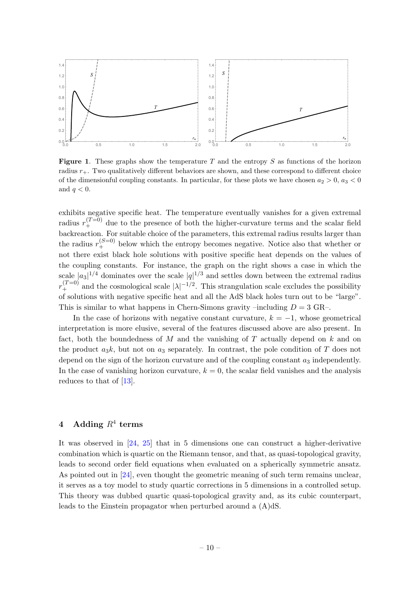

**Figure 1.** These graphs show the temperature T and the entropy S as functions of the horizon radius  $r_{+}$ . Two qualitatively different behaviors are shown, and these correspond to different choice of the dimensionful coupling constants. In particular, for these plots we have chosen  $a_2 > 0$ ,  $a_3 < 0$ and  $q < 0$ .

exhibits negative specific heat. The temperature eventually vanishes for a given extremal radius  $r_{+}^{(T=0)}$  due to the presence of both the higher-curvature terms and the scalar field backreaction. For suitable choice of the parameters, this extremal radius results larger than the radius  $r_+^{(S=0)}$  below which the entropy becomes negative. Notice also that whether or not there exist black hole solutions with positive specific heat depends on the values of the coupling constants. For instance, the graph on the right shows a case in which the scale  $|a_3|^{1/4}$  dominates over the scale  $|q|^{1/3}$  and settles down between the extremal radius  $r_{+}^{(T=0)}$  and the cosmological scale  $|\lambda|^{-1/2}$ . This strangulation scale excludes the possibility of solutions with negative specific heat and all the AdS black holes turn out to be "large". This is similar to what happens in Chern-Simons gravity –including  $D = 3$  GR–.

In the case of horizons with negative constant curvature,  $k = -1$ , whose geometrical interpretation is more elusive, several of the features discussed above are also present. In fact, both the boundedness of  $M$  and the vanishing of  $T$  actually depend on  $k$  and on the product  $a_3k$ , but not on  $a_3$  separately. In contrast, the pole condition of T does not depend on the sign of the horizon curvature and of the coupling constant  $a_3$  independently. In the case of vanishing horizon curvature,  $k = 0$ , the scalar field vanishes and the analysis reduces to that of [\[13\]](#page-13-13).

# <span id="page-10-0"></span> $4 \quad \text{Adding} \,\, R^4 \,\, \text{terms}$

It was observed in [\[24,](#page-14-3) [25\]](#page-14-4) that in 5 dimensions one can construct a higher-derivative combination which is quartic on the Riemann tensor, and that, as quasi-topological gravity, leads to second order field equations when evaluated on a spherically symmetric ansatz. As pointed out in [\[24\]](#page-14-3), even thought the geometric meaning of such term remains unclear, it serves as a toy model to study quartic corrections in 5 dimensions in a controlled setup. This theory was dubbed quartic quasi-topological gravity and, as its cubic counterpart, leads to the Einstein propagator when perturbed around a (A)dS.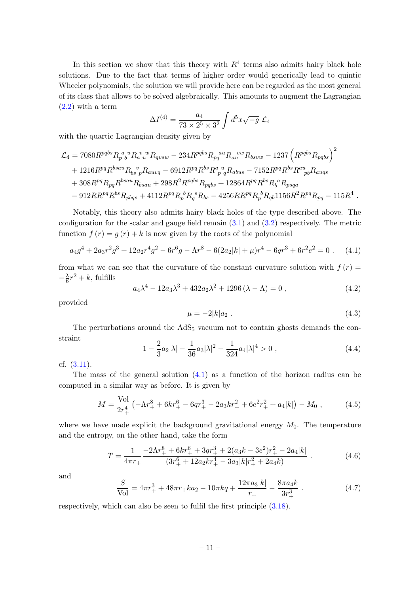In this section we show that this theory with  $R<sup>4</sup>$  terms also admits hairy black hole solutions. Due to the fact that terms of higher order would generically lead to quintic Wheeler polynomials, the solution we will provide here can be regarded as the most general of its class that allows to be solved algebraically. This amounts to augment the Lagrangian [\(2.2\)](#page-3-5) with a term

$$
\Delta I^{(4)} = \frac{a_4}{73 \times 2^5 \times 3^2} \int d^5 x \sqrt{-g} \mathcal{L}_4
$$

with the quartic Lagrangian density given by

$$
\begin{aligned} \mathcal{L}_4 &= 7080 R^{pqbs} R_{p~b}^{~a~u} R_{a~u}^{~v~w} R_{qvsw} - 234 R^{pqbs} R_{pq}^{~au} R_{au}^{~vw} R_{bsvw} - 1237 \left( R^{pqbs} R_{pqbs} \right)^2 \\&+ 1216 R^{pq} R^{bsau} R_{bs}^{~v} p R_{auvq} - 6912 R^{pq} R^{bs} R_{p~q}^{~u} R_{abus} - 7152 R^{pq} R^{bs} R^{au}_{~pb} R_{augs} \\&+ 308 R^{pq} R_{pq} R^{bsau} R_{bsau} + 298 R^2 R^{pqbs} R_{pqbs} + 12864 R^{pq} R^{bs} R_{b}^{~a} R_{psqa} \\&- 912 R R^{pq} R^{bs} R_{pbqs} + 4112 R^{pq} R_{p}^{~b} R_{q}^{~s} R_{bs} - 4256 R R^{pq} R_{p}^{~b} R_{qb} 1156 R^2 R^{pq} R_{pq} - 115 R^4 \end{aligned}
$$

Notably, this theory also admits hairy black holes of the type described above. The configuration for the scalar and gauge field remain  $(3.1)$  and  $(3.2)$  respectively. The metric function  $f(r) = g(r) + k$  is now given by the roots of the polynomial

<span id="page-11-0"></span>
$$
a_4g^4 + 2a_3r^2g^3 + 12a_2r^4g^2 - 6r^6g - \Lambda r^8 - 6(2a_2|k| + \mu)r^4 - 6qr^3 + 6r^2e^2 = 0.
$$
 (4.1)

from what we can see that the curvature of the constant curvature solution with  $f(r)$  $-\frac{\lambda}{6}$  $\frac{\lambda}{6}r^2 + k$ , fulfills

$$
a_4\lambda^4 - 12a_3\lambda^3 + 432a_2\lambda^2 + 1296(\lambda - \Lambda) = 0 , \qquad (4.2)
$$

provided

$$
\mu = -2|k|a_2 \tag{4.3}
$$

.

The perturbations around the  $AdS<sub>5</sub>$  vacuum not to contain ghosts demands the constraint

$$
1 - \frac{2}{3}a_2|\lambda| - \frac{1}{36}a_3|\lambda|^2 - \frac{1}{324}a_4|\lambda|^4 > 0,
$$
\n(4.4)

cf. [\(3.11\)](#page-6-2).

The mass of the general solution [\(4.1\)](#page-11-0) as a function of the horizon radius can be computed in a similar way as before. It is given by

$$
M = \frac{\text{Vol}}{2r_+^4} \left( -\Lambda r_+^8 + 6kr_+^6 - 6qr_+^3 - 2a_3kr_+^2 + 6e^2r_+^2 + a_4|k| \right) - M_0 \,, \tag{4.5}
$$

where we have made explicit the background gravitational energy  $M_0$ . The temperature and the entropy, on the other hand, take the form

$$
T = \frac{1}{4\pi r_+} \frac{-2\Lambda r_+^8 + 6kr_+^6 + 3qr_+^3 + 2(a_3k - 3e^2)r_+^2 - 2a_4|k|}{(3r_+^6 + 12a_2kr_+^4 - 3a_3|k|r_+^2 + 2a_4k)}.
$$
 (4.6)

and

$$
\frac{S}{\text{Vol}} = 4\pi r_+^3 + 48\pi r_+ k a_2 - 10\pi k q + \frac{12\pi a_3 |k|}{r_+} - \frac{8\pi a_4 k}{3r_+^3} \,. \tag{4.7}
$$

respectively, which can also be seen to fulfil the first principle [\(3.18\)](#page-8-1).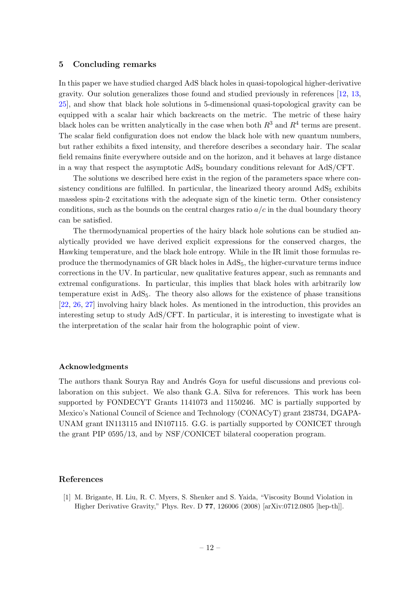# <span id="page-12-0"></span>5 Concluding remarks

In this paper we have studied charged AdS black holes in quasi-topological higher-derivative gravity. Our solution generalizes those found and studied previously in references [\[12,](#page-13-9) [13,](#page-13-13) [25\]](#page-14-4), and show that black hole solutions in 5-dimensional quasi-topological gravity can be equipped with a scalar hair which backreacts on the metric. The metric of these hairy black holes can be written analytically in the case when both  $R^3$  and  $R^4$  terms are present. The scalar field configuration does not endow the black hole with new quantum numbers, but rather exhibits a fixed intensity, and therefore describes a secondary hair. The scalar field remains finite everywhere outside and on the horizon, and it behaves at large distance in a way that respect the asymptotic  $AdS_5$  boundary conditions relevant for  $AdS/CFT$ .

The solutions we described here exist in the region of the parameters space where consistency conditions are fulfilled. In particular, the linearized theory around  $AdS<sub>5</sub>$  exhibits massless spin-2 excitations with the adequate sign of the kinetic term. Other consistency conditions, such as the bounds on the central charges ratio  $a/c$  in the dual boundary theory can be satisfied.

The thermodynamical properties of the hairy black hole solutions can be studied analytically provided we have derived explicit expressions for the conserved charges, the Hawking temperature, and the black hole entropy. While in the IR limit those formulas reproduce the thermodynamics of GR black holes in  $AdS_5$ , the higher-curvature terms induce corrections in the UV. In particular, new qualitative features appear, such as remnants and extremal configurations. In particular, this implies that black holes with arbitrarily low temperature exist in AdS5. The theory also allows for the existence of phase transitions [\[22,](#page-14-0) [26,](#page-14-5) [27\]](#page-14-6) involving hairy black holes. As mentioned in the introduction, this provides an interesting setup to study AdS/CFT. In particular, it is interesting to investigate what is the interpretation of the scalar hair from the holographic point of view.

# Acknowledgments

The authors thank Sourya Ray and Andrés Goya for useful discussions and previous collaboration on this subject. We also thank G.A. Silva for references. This work has been supported by FONDECYT Grants 1141073 and 1150246. MC is partially supported by Mexico's National Council of Science and Technology (CONACyT) grant 238734, DGAPA-UNAM grant IN113115 and IN107115. G.G. is partially supported by CONICET through the grant PIP 0595/13, and by NSF/CONICET bilateral cooperation program.

# References

<span id="page-12-1"></span>[1] M. Brigante, H. Liu, R. C. Myers, S. Shenker and S. Yaida, "Viscosity Bound Violation in Higher Derivative Gravity," Phys. Rev. D 77, 126006 (2008) [arXiv:0712.0805 [hep-th]].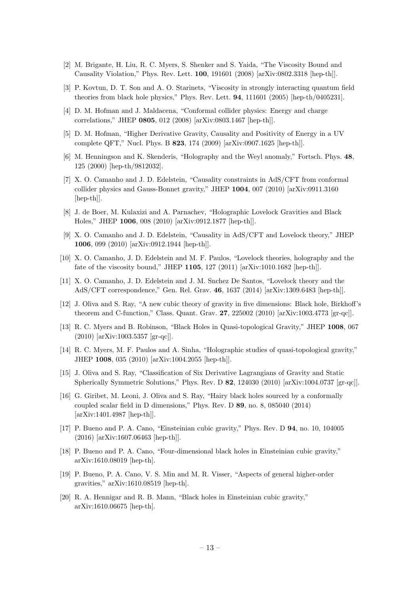- <span id="page-13-0"></span>[2] M. Brigante, H. Liu, R. C. Myers, S. Shenker and S. Yaida, "The Viscosity Bound and Causality Violation," Phys. Rev. Lett. 100, 191601 (2008) [arXiv:0802.3318 [hep-th]].
- <span id="page-13-1"></span>[3] P. Kovtun, D. T. Son and A. O. Starinets, "Viscosity in strongly interacting quantum field theories from black hole physics," Phys. Rev. Lett. 94, 111601 (2005) [hep-th/0405231].
- <span id="page-13-2"></span>[4] D. M. Hofman and J. Maldacena, "Conformal collider physics: Energy and charge correlations," JHEP 0805, 012 (2008) [arXiv:0803.1467 [hep-th]].
- <span id="page-13-3"></span>[5] D. M. Hofman, "Higher Derivative Gravity, Causality and Positivity of Energy in a UV complete QFT," Nucl. Phys. B 823, 174 (2009) [arXiv:0907.1625 [hep-th]].
- <span id="page-13-4"></span>[6] M. Henningson and K. Skenderis, "Holography and the Weyl anomaly," Fortsch. Phys. 48, 125 (2000) [hep-th/9812032].
- <span id="page-13-5"></span>[7] X. O. Camanho and J. D. Edelstein, "Causality constraints in AdS/CFT from conformal collider physics and Gauss-Bonnet gravity," JHEP 1004, 007 (2010) [arXiv:0911.3160 [hep-th]].
- <span id="page-13-7"></span>[8] J. de Boer, M. Kulaxizi and A. Parnachev, "Holographic Lovelock Gravities and Black Holes," JHEP 1006, 008 (2010) [arXiv:0912.1877 [hep-th]].
- [9] X. O. Camanho and J. D. Edelstein, "Causality in AdS/CFT and Lovelock theory," JHEP 1006, 099 (2010) [arXiv:0912.1944 [hep-th]].
- <span id="page-13-8"></span>[10] X. O. Camanho, J. D. Edelstein and M. F. Paulos, "Lovelock theories, holography and the fate of the viscosity bound," JHEP 1105, 127 (2011) [arXiv:1010.1682 [hep-th]].
- <span id="page-13-6"></span>[11] X. O. Camanho, J. D. Edelstein and J. M. Snchez De Santos, "Lovelock theory and the AdS/CFT correspondence," Gen. Rel. Grav. 46, 1637 (2014) [arXiv:1309.6483 [hep-th]].
- <span id="page-13-9"></span>[12] J. Oliva and S. Ray, "A new cubic theory of gravity in five dimensions: Black hole, Birkhoff's theorem and C-function," Class. Quant. Grav. 27, 225002 (2010) [arXiv:1003.4773 [gr-qc]].
- <span id="page-13-13"></span>[13] R. C. Myers and B. Robinson, "Black Holes in Quasi-topological Gravity," JHEP 1008, 067 (2010) [arXiv:1003.5357 [gr-qc]].
- <span id="page-13-10"></span>[14] R. C. Myers, M. F. Paulos and A. Sinha, "Holographic studies of quasi-topological gravity," JHEP 1008, 035 (2010) [arXiv:1004.2055 [hep-th]].
- <span id="page-13-11"></span>[15] J. Oliva and S. Ray, "Classification of Six Derivative Lagrangians of Gravity and Static Spherically Symmetric Solutions," Phys. Rev. D 82, 124030 (2010) [arXiv:1004.0737 [gr-qc]].
- <span id="page-13-12"></span>[16] G. Giribet, M. Leoni, J. Oliva and S. Ray, "Hairy black holes sourced by a conformally coupled scalar field in D dimensions," Phys. Rev. D 89, no. 8, 085040 (2014) [arXiv:1401.4987 [hep-th]].
- <span id="page-13-14"></span>[17] P. Bueno and P. A. Cano, "Einsteinian cubic gravity," Phys. Rev. D 94, no. 10, 104005 (2016) [arXiv:1607.06463 [hep-th]].
- [18] P. Bueno and P. A. Cano, "Four-dimensional black holes in Einsteinian cubic gravity," arXiv:1610.08019 [hep-th].
- [19] P. Bueno, P. A. Cano, V. S. Min and M. R. Visser, "Aspects of general higher-order gravities," arXiv:1610.08519 [hep-th].
- <span id="page-13-15"></span>[20] R. A. Hennigar and R. B. Mann, "Black holes in Einsteinian cubic gravity," arXiv:1610.06675 [hep-th].